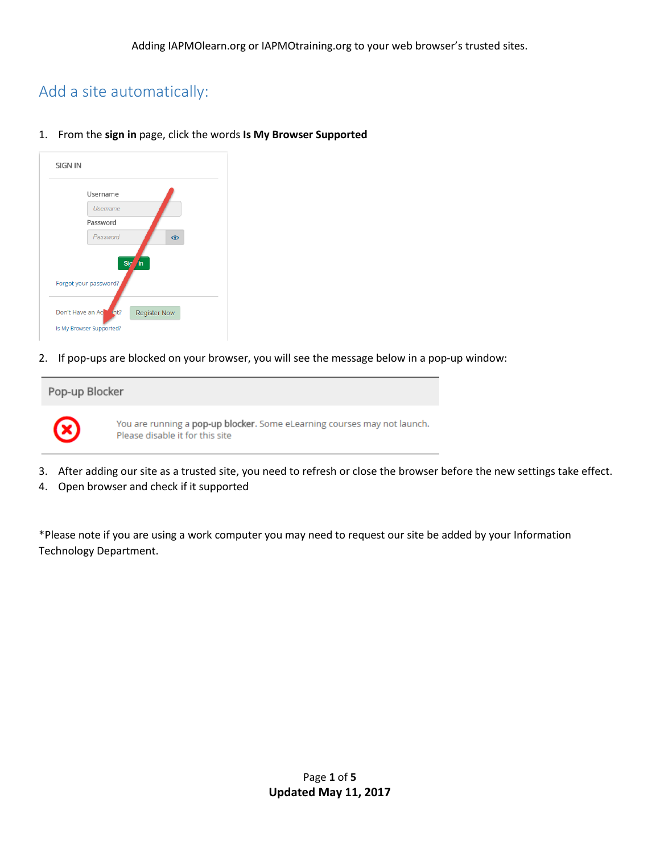## Add a site automatically:

1. From the **sign in** page, click the words **Is My Browser Supported**

| <b>SIGN IN</b>                                  |
|-------------------------------------------------|
| Username                                        |
| <b>Usemame</b>                                  |
| Password                                        |
| Password<br>$\odot$<br>Sig<br>'in               |
| Forgot your password?                           |
| int?<br>Don't Have an Ac<br><b>Register Now</b> |
| Is My Browser Supported?                        |

2. If pop-ups are blocked on your browser, you will see the message below in a pop-up window:



- 3. After adding our site as a trusted site, you need to refresh or close the browser before the new settings take effect.
- 4. Open browser and check if it supported

\*Please note if you are using a work computer you may need to request our site be added by your Information Technology Department.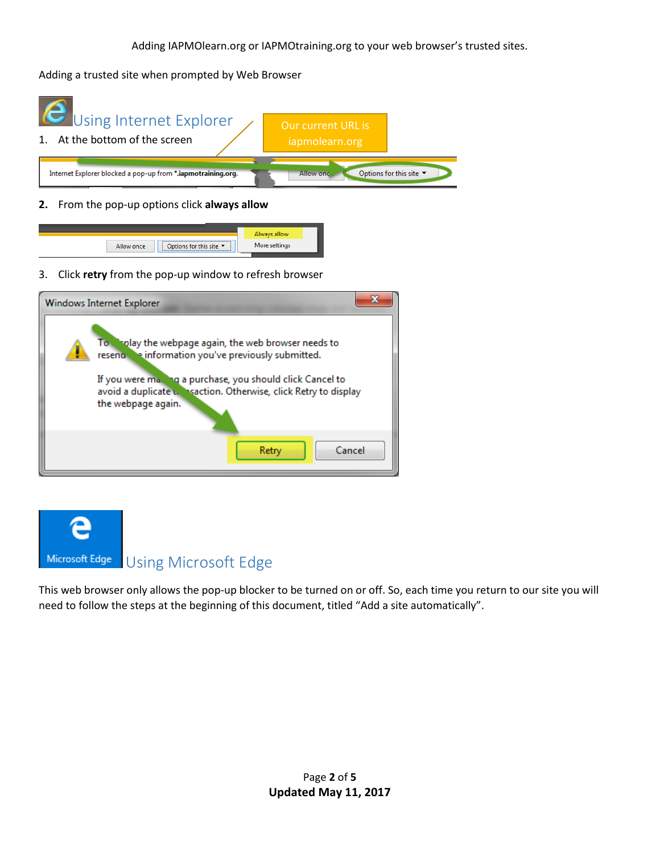Adding a trusted site when prompted by Web Browser



**2.** From the pop-up options click **always allow**



3. Click **retry** from the pop-up window to refresh browser

| Windows Internet Explorer                                                                                                                                                                                                                                           |
|---------------------------------------------------------------------------------------------------------------------------------------------------------------------------------------------------------------------------------------------------------------------|
| To implay the webpage again, the web browser needs to<br>reseno e information you've previously submitted.<br>If you were ma. Ing a purchase, you should click Cancel to<br>avoid a duplicate v. Insaction. Otherwise, click Retry to display<br>the webpage again. |
| Cancel<br>Retry                                                                                                                                                                                                                                                     |



This web browser only allows the pop-up blocker to be turned on or off. So, each time you return to our site you will need to follow the steps at the beginning of this document, titled "Add a site automatically".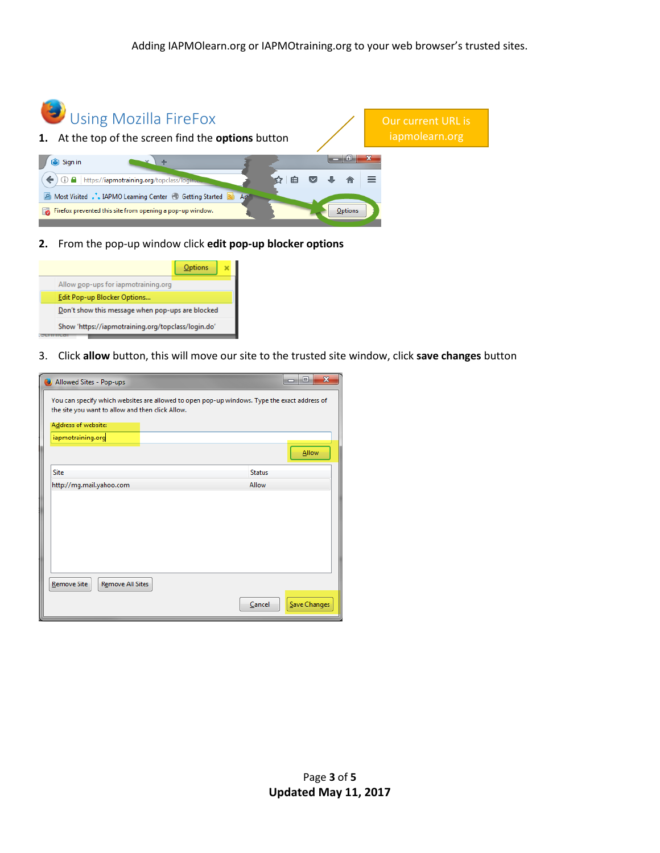

**2.** From the pop-up window click **edit pop-up blocker options**



3. Click **allow** button, this will move our site to the trusted site window, click **save changes** button

| Allowed Sites - Pop-ups                                                                                                                                                                      | $\mathbf{x}$<br>- 0 |
|----------------------------------------------------------------------------------------------------------------------------------------------------------------------------------------------|---------------------|
| You can specify which websites are allowed to open pop-up windows. Type the exact address of<br>the site you want to allow and then click Allow.<br>Address of website:<br>iapmotraining.org |                     |
|                                                                                                                                                                                              | <b>Allow</b>        |
| Site<br><b>Status</b>                                                                                                                                                                        |                     |
| Allow<br>http://mg.mail.yahoo.com                                                                                                                                                            |                     |
| <b>Remove All Sites</b><br>Remove Site                                                                                                                                                       |                     |
| Cancel                                                                                                                                                                                       | Save Changes        |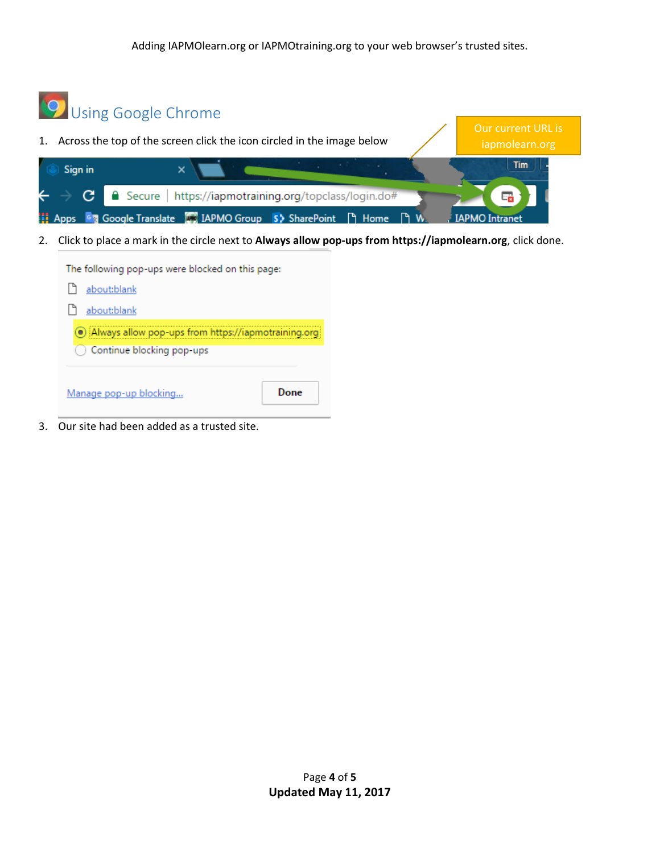

3. Our site had been added as a trusted site.